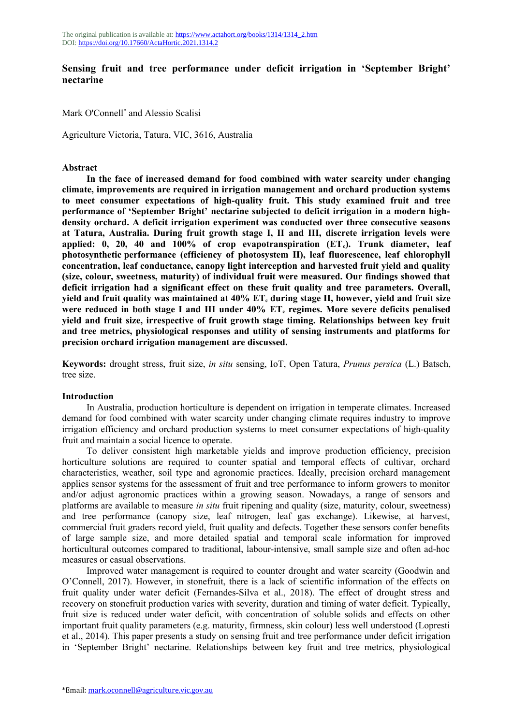# **Sensing fruit and tree performance under deficit irrigation in 'September Bright' nectarine**

Mark O'Connell<sup>\*</sup> and Alessio Scalisi

Agriculture Victoria, Tatura, VIC, 3616, Australia

### **Abstract**

**In the face of increased demand for food combined with water scarcity under changing climate, improvements are required in irrigation management and orchard production systems to meet consumer expectations of high-quality fruit. This study examined fruit and tree performance of 'September Bright' nectarine subjected to deficit irrigation in a modern highdensity orchard. A deficit irrigation experiment was conducted over three consecutive seasons at Tatura, Australia. During fruit growth stage I, II and III, discrete irrigation levels were applied: 0, 20, 40 and 100% of crop evapotranspiration (ETc). Trunk diameter, leaf photosynthetic performance (efficiency of photosystem II), leaf fluorescence, leaf chlorophyll concentration, leaf conductance, canopy light interception and harvested fruit yield and quality (size, colour, sweetness, maturity) of individual fruit were measured. Our findings showed that deficit irrigation had a significant effect on these fruit quality and tree parameters. Overall, yield and fruit quality was maintained at 40% ETc during stage II, however, yield and fruit size were reduced in both stage I and III under 40% ETc regimes. More severe deficits penalised yield and fruit size, irrespective of fruit growth stage timing. Relationships between key fruit and tree metrics, physiological responses and utility of sensing instruments and platforms for precision orchard irrigation management are discussed.**

**Keywords:** drought stress, fruit size, *in situ* sensing, IoT, Open Tatura, *Prunus persica* (L.) Batsch, tree size.

### **Introduction**

In Australia, production horticulture is dependent on irrigation in temperate climates. Increased demand for food combined with water scarcity under changing climate requires industry to improve irrigation efficiency and orchard production systems to meet consumer expectations of high-quality fruit and maintain a social licence to operate.

To deliver consistent high marketable yields and improve production efficiency, precision horticulture solutions are required to counter spatial and temporal effects of cultivar, orchard characteristics, weather, soil type and agronomic practices. Ideally, precision orchard management applies sensor systems for the assessment of fruit and tree performance to inform growers to monitor and/or adjust agronomic practices within a growing season. Nowadays, a range of sensors and platforms are available to measure *in situ* fruit ripening and quality (size, maturity, colour, sweetness) and tree performance (canopy size, leaf nitrogen, leaf gas exchange). Likewise, at harvest, commercial fruit graders record yield, fruit quality and defects. Together these sensors confer benefits of large sample size, and more detailed spatial and temporal scale information for improved horticultural outcomes compared to traditional, labour-intensive, small sample size and often ad-hoc measures or casual observations.

Improved water management is required to counter drought and water scarcity (Goodwin and O'Connell, 2017). However, in stonefruit, there is a lack of scientific information of the effects on fruit quality under water deficit (Fernandes-Silva et al., 2018). The effect of drought stress and recovery on stonefruit production varies with severity, duration and timing of water deficit. Typically, fruit size is reduced under water deficit, with concentration of soluble solids and effects on other important fruit quality parameters (e.g. maturity, firmness, skin colour) less well understood (Lopresti et al., 2014). This paper presents a study on sensing fruit and tree performance under deficit irrigation in 'September Bright' nectarine. Relationships between key fruit and tree metrics, physiological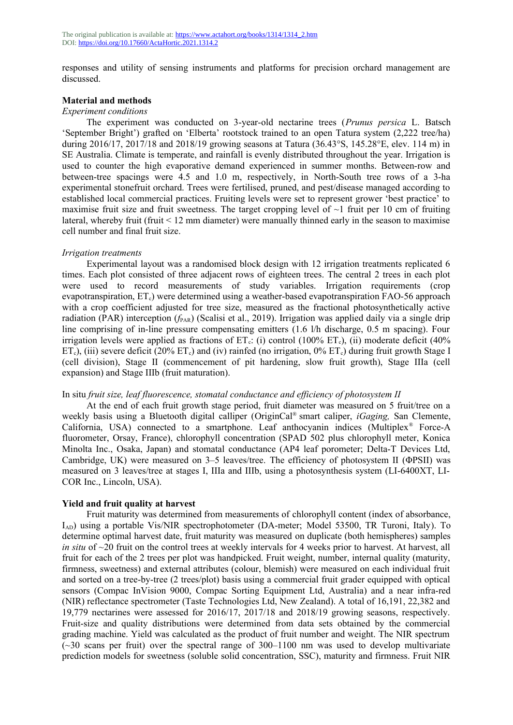responses and utility of sensing instruments and platforms for precision orchard management are discussed.

### **Material and methods**

#### *Experiment conditions*

The experiment was conducted on 3-year-old nectarine trees (*Prunus persica* L. Batsch 'September Bright') grafted on 'Elberta' rootstock trained to an open Tatura system (2,222 tree/ha) during 2016/17, 2017/18 and 2018/19 growing seasons at Tatura (36.43°S, 145.28°E, elev. 114 m) in SE Australia. Climate is temperate, and rainfall is evenly distributed throughout the year. Irrigation is used to counter the high evaporative demand experienced in summer months. Between-row and between‐tree spacings were 4.5 and 1.0 m, respectively, in North-South tree rows of a 3-ha experimental stonefruit orchard. Trees were fertilised, pruned, and pest/disease managed according to established local commercial practices. Fruiting levels were set to represent grower 'best practice' to maximise fruit size and fruit sweetness. The target cropping level of  $\sim$ 1 fruit per 10 cm of fruiting lateral, whereby fruit (fruit < 12 mm diameter) were manually thinned early in the season to maximise cell number and final fruit size.

### *Irrigation treatments*

Experimental layout was a randomised block design with 12 irrigation treatments replicated 6 times. Each plot consisted of three adjacent rows of eighteen trees. The central 2 trees in each plot were used to record measurements of study variables. Irrigation requirements (crop evapotranspiration, ET<sub>c</sub>) were determined using a weather-based evapotranspiration FAO-56 approach with a crop coefficient adjusted for tree size, measured as the fractional photosynthetically active radiation (PAR) interception  $(f_{PAR})$  (Scalisi et al., 2019). Irrigation was applied daily via a single drip line comprising of in-line pressure compensating emitters (1.6 l/h discharge, 0.5 m spacing). Four irrigation levels were applied as fractions of  $ET_c$ : (i) control (100%  $ET_c$ ), (ii) moderate deficit (40%  $ET<sub>c</sub>$ ), (iii) severe deficit (20%  $ET<sub>c</sub>$ ) and (iv) rainfed (no irrigation, 0%  $ET<sub>c</sub>$ ) during fruit growth Stage I (cell division), Stage II (commencement of pit hardening, slow fruit growth), Stage IIIa (cell expansion) and Stage IIIb (fruit maturation).

#### In situ *fruit size, leaf fluorescence, stomatal conductance and efficiency of photosystem II*

At the end of each fruit growth stage period, fruit diameter was measured on 5 fruit/tree on a weekly basis using a Bluetooth digital calliper (OriginCal® smart caliper, *iGaging,* San Clemente, California, USA) connected to a smartphone. Leaf anthocyanin indices (Multiplex<sup>®</sup> Force-A fluorometer, Orsay, France), chlorophyll concentration (SPAD 502 plus chlorophyll meter, Konica Minolta Inc., Osaka, Japan) and stomatal conductance (AP4 leaf porometer; Delta-T Devices Ltd, Cambridge, UK) were measured on 3–5 leaves/tree. The efficiency of photosystem II (ΦPSII) was measured on 3 leaves/tree at stages I, IIIa and IIIb, using a photosynthesis system (LI-6400XT, LI-COR Inc., Lincoln, USA).

## **Yield and fruit quality at harvest**

Fruit maturity was determined from measurements of chlorophyll content (index of absorbance,  $I_{AD}$ ) using a portable Vis/NIR spectrophotometer (DA-meter; Model 53500, TR Turoni, Italy). To determine optimal harvest date, fruit maturity was measured on duplicate (both hemispheres) samples *in situ* of ~20 fruit on the control trees at weekly intervals for 4 weeks prior to harvest. At harvest, all fruit for each of the 2 trees per plot was handpicked. Fruit weight, number, internal quality (maturity, firmness, sweetness) and external attributes (colour, blemish) were measured on each individual fruit and sorted on a tree-by-tree (2 trees/plot) basis using a commercial fruit grader equipped with optical sensors (Compac InVision 9000, Compac Sorting Equipment Ltd, Australia) and a near infra-red (NIR) reflectance spectrometer (Taste Technologies Ltd, New Zealand). A total of 16,191, 22,382 and 19,779 nectarines were assessed for 2016/17, 2017/18 and 2018/19 growing seasons, respectively. Fruit-size and quality distributions were determined from data sets obtained by the commercial grading machine. Yield was calculated as the product of fruit number and weight. The NIR spectrum  $(\sim 30$  scans per fruit) over the spectral range of 300–1100 nm was used to develop multivariate prediction models for sweetness (soluble solid concentration, SSC), maturity and firmness. Fruit NIR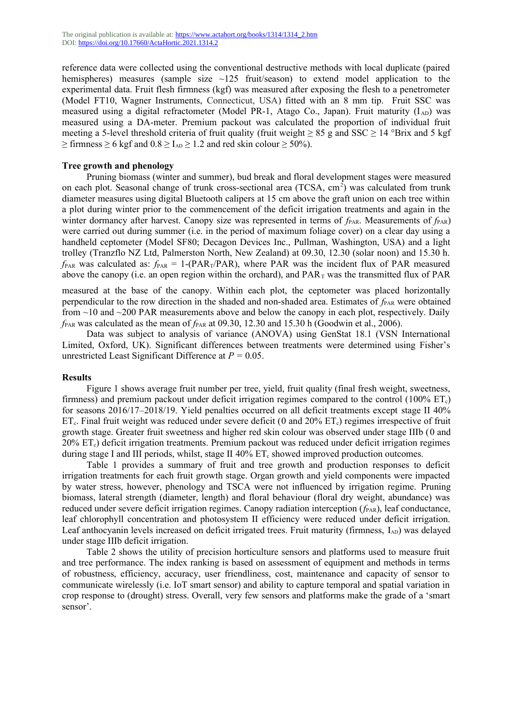reference data were collected using the conventional destructive methods with local duplicate (paired hemispheres) measures (sample size  $\sim$ 125 fruit/season) to extend model application to the experimental data. Fruit flesh firmness (kgf) was measured after exposing the flesh to a penetrometer (Model FT10, Wagner Instruments, Connecticut, USA) fitted with an 8 mm tip. Fruit SSC was measured using a digital refractometer (Model PR-1, Atago Co., Japan). Fruit maturity (IAD) was measured using a DA-meter. Premium packout was calculated the proportion of individual fruit meeting a 5-level threshold criteria of fruit quality (fruit weight  $\geq 85$  g and SSC  $\geq 14$  °Brix and 5 kgf  $\geq$  firmness  $\geq$  6 kgf and  $0.8 \geq I_{AD} \geq 1.2$  and red skin colour  $\geq$  50%).

## **Tree growth and phenology**

Pruning biomass (winter and summer), bud break and floral development stages were measured on each plot. Seasonal change of trunk cross-sectional area (TCSA, cm<sup>2</sup>) was calculated from trunk diameter measures using digital Bluetooth calipers at 15 cm above the graft union on each tree within a plot during winter prior to the commencement of the deficit irrigation treatments and again in the winter dormancy after harvest. Canopy size was represented in terms of  $f_{PAR}$ . Measurements of  $f_{PAR}$ ) were carried out during summer (i.e. in the period of maximum foliage cover) on a clear day using a handheld ceptometer (Model SF80; Decagon Devices Inc., Pullman, Washington, USA) and a light trolley (Tranzflo NZ Ltd, Palmerston North, New Zealand) at 09.30, 12.30 (solar noon) and 15.30 h.  $f_{PAR}$  was calculated as:  $f_{PAR} = 1-(PAR_T/PAR)$ , where PAR was the incident flux of PAR measured above the canopy (i.e. an open region within the orchard), and  $PAR<sub>T</sub>$  was the transmitted flux of PAR

measured at the base of the canopy. Within each plot, the ceptometer was placed horizontally perpendicular to the row direction in the shaded and non-shaded area. Estimates of  $f_{PAR}$  were obtained from  $\sim$ 10 and  $\sim$ 200 PAR measurements above and below the canopy in each plot, respectively. Daily  $f_{PAR}$  was calculated as the mean of  $f_{PAR}$  at 09.30, 12.30 and 15.30 h (Goodwin et al., 2006).

Data was subject to analysis of variance (ANOVA) using GenStat 18.1 (VSN International Limited, Oxford, UK). Significant differences between treatments were determined using Fisher's unrestricted Least Significant Difference at *P =* 0.05.

### **Results**

Figure 1 shows average fruit number per tree, yield, fruit quality (final fresh weight, sweetness, firmness) and premium packout under deficit irrigation regimes compared to the control  $(100\% \text{ ET}_c)$ for seasons 2016/17–2018/19. Yield penalties occurred on all deficit treatments except stage II 40%  $ET_c$ . Final fruit weight was reduced under severe deficit (0 and 20%  $ET_c$ ) regimes irrespective of fruit growth stage. Greater fruit sweetness and higher red skin colour was observed under stage IIIb (0 and 20% ETc) deficit irrigation treatments. Premium packout was reduced under deficit irrigation regimes during stage I and III periods, whilst, stage II  $40\%$  ET<sub>c</sub> showed improved production outcomes.

Table 1 provides a summary of fruit and tree growth and production responses to deficit irrigation treatments for each fruit growth stage. Organ growth and yield components were impacted by water stress, however, phenology and TSCA were not influenced by irrigation regime. Pruning biomass, lateral strength (diameter, length) and floral behaviour (floral dry weight, abundance) was reduced under severe deficit irrigation regimes. Canopy radiation interception ( $f_{PAR}$ ), leaf conductance, leaf chlorophyll concentration and photosystem II efficiency were reduced under deficit irrigation. Leaf anthocyanin levels increased on deficit irrigated trees. Fruit maturity (firmness, I<sub>AD</sub>) was delayed under stage IIIb deficit irrigation.

Table 2 shows the utility of precision horticulture sensors and platforms used to measure fruit and tree performance. The index ranking is based on assessment of equipment and methods in terms of robustness, efficiency, accuracy, user friendliness, cost, maintenance and capacity of sensor to communicate wirelessly (i.e. IoT smart sensor) and ability to capture temporal and spatial variation in crop response to (drought) stress. Overall, very few sensors and platforms make the grade of a 'smart sensor'.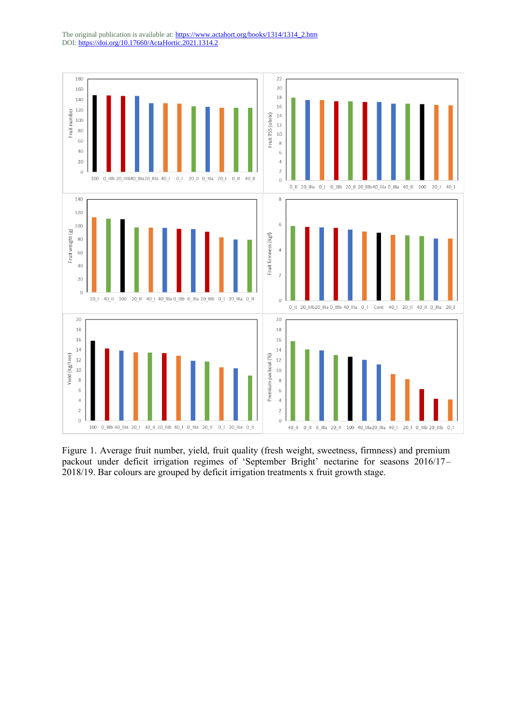

Figure 1. Average fruit number, yield, fruit quality (fresh weight, sweetness, firmness) and premium packout under deficit irrigation regimes of 'September Bright' nectarine for seasons 2016/17– 2018/19. Bar colours are grouped by deficit irrigation treatments x fruit growth stage.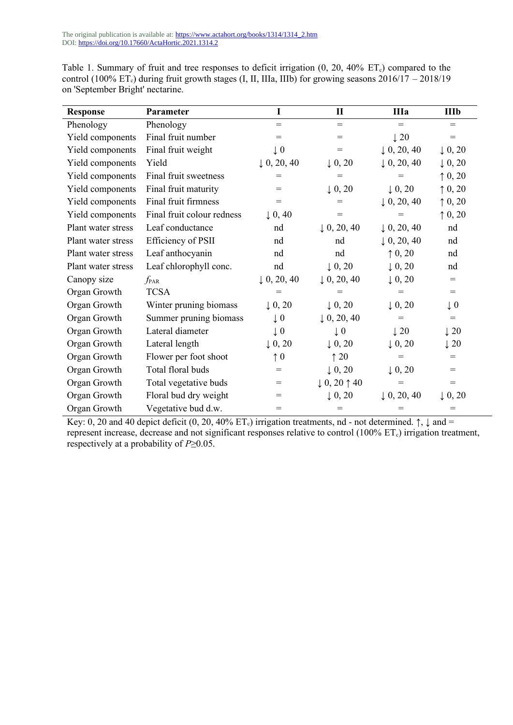The original publication is available at: **https://www.actahort.org/books/1314/1314\_2.htm** DOI:<https://doi.org/10.17660/ActaHortic.2021.1314.2>

| <b>Response</b>    | Parameter                  | $\mathbf I$            | $\mathbf{I}$                     | <b>IIIa</b>            | <b>IIIb</b>        |
|--------------------|----------------------------|------------------------|----------------------------------|------------------------|--------------------|
| Phenology          | Phenology                  | $=$                    | $\qquad \qquad =$                | $=$                    | $=$                |
| Yield components   | Final fruit number         | $=$                    | $=$                              | $\downarrow$ 20        | $=$                |
| Yield components   | Final fruit weight         | $\downarrow 0$         | $=$                              | $\downarrow$ 0, 20, 40 | $\downarrow$ 0, 20 |
| Yield components   | Yield                      | $\downarrow$ 0, 20, 40 | $\downarrow$ 0, 20               | $\downarrow$ 0, 20, 40 | $\downarrow$ 0, 20 |
| Yield components   | Final fruit sweetness      | $=$                    | $=$                              | $=$                    | $\uparrow$ 0, 20   |
| Yield components   | Final fruit maturity       | $=$                    | $\downarrow$ 0, 20               | $\downarrow$ 0, 20     | $\uparrow$ 0, 20   |
| Yield components   | Final fruit firmness       | $=$                    | $=$                              | $\downarrow$ 0, 20, 40 | $\uparrow$ 0, 20   |
| Yield components   | Final fruit colour redness | $\downarrow$ 0, 40     | $=$                              | $=$                    | $\uparrow$ 0, 20   |
| Plant water stress | Leaf conductance           | nd                     | $\downarrow$ 0, 20, 40           | $\downarrow$ 0, 20, 40 | nd                 |
| Plant water stress | Efficiency of PSII         | nd                     | nd                               | $\downarrow$ 0, 20, 40 | nd                 |
| Plant water stress | Leaf anthocyanin           | nd                     | nd                               | $\uparrow$ 0, 20       | nd                 |
| Plant water stress | Leaf chlorophyll conc.     | nd                     | $\downarrow$ 0, 20               | $\downarrow$ 0, 20     | nd                 |
| Canopy size        | $f_{\rm PAR}$              | $\downarrow$ 0, 20, 40 | $\downarrow$ 0, 20, 40           | $\downarrow$ 0, 20     | $=$                |
| Organ Growth       | <b>TCSA</b>                | $=$                    | $=$                              | $=$                    | $=$                |
| Organ Growth       | Winter pruning biomass     | $\downarrow$ 0, 20     | $\downarrow$ 0, 20               | $\downarrow$ 0, 20     | $\downarrow$ 0     |
| Organ Growth       | Summer pruning biomass     | $\downarrow$ 0         | $\downarrow$ 0, 20, 40           | $=$                    | $\qquad \qquad =$  |
| Organ Growth       | Lateral diameter           | $\downarrow 0$         | $\downarrow$ 0                   | $\downarrow$ 20        | $\downarrow$ 20    |
| Organ Growth       | Lateral length             | $\downarrow$ 0, 20     | $\downarrow$ 0, 20               | $\downarrow$ 0, 20     | $\downarrow$ 20    |
| Organ Growth       | Flower per foot shoot      | $\uparrow$ 0           | $\uparrow$ 20                    | $=$                    | $=$                |
| Organ Growth       | Total floral buds          | $=$                    | $\downarrow$ 0, 20               | $\downarrow$ 0, 20     | $=$                |
| Organ Growth       | Total vegetative buds      | $=$                    | $\downarrow$ 0, 20 $\uparrow$ 40 | $=$                    | $=$                |
| Organ Growth       | Floral bud dry weight      | $=$                    | $\downarrow$ 0, 20               | $\downarrow$ 0, 20, 40 | $\downarrow$ 0, 20 |
| Organ Growth       | Vegetative bud d.w.        | $=$                    | $=$                              | $=$                    | $=$                |

Table 1. Summary of fruit and tree responses to deficit irrigation  $(0, 20, 40\% \text{ ET}_c)$  compared to the control (100% ET<sub>c</sub>) during fruit growth stages (I, II, IIIa, IIIb) for growing seasons  $2016/17 - 2018/19$ on 'September Bright' nectarine.

Key: 0, 20 and 40 depict deficit (0, 20, 40% ET<sub>c</sub>) irrigation treatments, nd - not determined.  $\uparrow$ ,  $\downarrow$  and = represent increase, decrease and not significant responses relative to control (100% ET<sub>c</sub>) irrigation treatment, respectively at a probability of *P*≥0.05.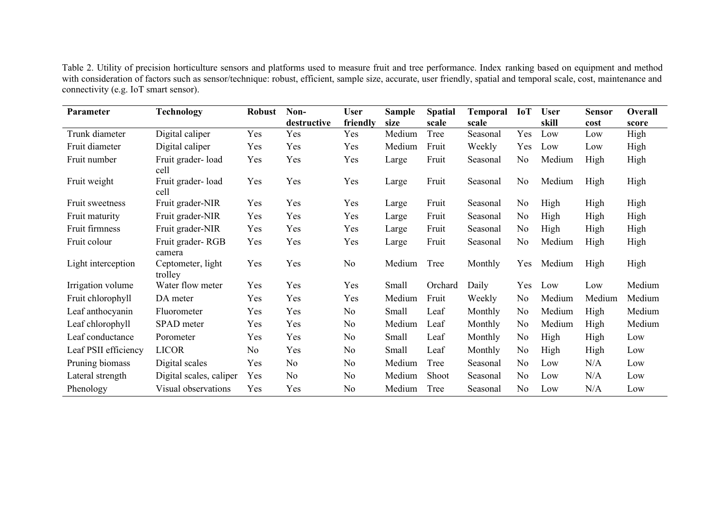Table 2. Utility of precision horticulture sensors and platforms used to measure fruit and tree performance. Index ranking based on equipment and method with consideration of factors such as sensor/technique: robust, efficient, sample size, accurate, user friendly, spatial and temporal scale, cost, maintenance and connectivity (e.g. IoT smart sensor).

| <b>Parameter</b>     | <b>Technology</b>            | <b>Robust</b>  | Non-        | <b>User</b>    | <b>Sample</b> | <b>Spatial</b> | <b>Temporal</b> | <b>IoT</b> | <b>User</b> | <b>Sensor</b> | Overall |
|----------------------|------------------------------|----------------|-------------|----------------|---------------|----------------|-----------------|------------|-------------|---------------|---------|
|                      |                              |                | destructive | friendly       | size          | scale          | scale           |            | skill       | cost          | score   |
| Trunk diameter       | Digital caliper              | Yes            | Yes         | Yes            | Medium        | Tree           | Seasonal        | Yes        | Low         | Low           | High    |
| Fruit diameter       | Digital caliper              | Yes            | Yes         | Yes            | Medium        | Fruit          | Weekly          | Yes        | Low         | Low           | High    |
| Fruit number         | Fruit grader-load<br>cell    | Yes            | Yes         | Yes            | Large         | Fruit          | Seasonal        | No         | Medium      | High          | High    |
| Fruit weight         | Fruit grader-load<br>cell    | Yes            | Yes         | Yes            | Large         | Fruit          | Seasonal        | No         | Medium      | High          | High    |
| Fruit sweetness      | Fruit grader-NIR             | Yes            | Yes         | Yes            | Large         | Fruit          | Seasonal        | No         | High        | High          | High    |
| Fruit maturity       | Fruit grader-NIR             | Yes            | Yes         | Yes            | Large         | Fruit          | Seasonal        | No         | High        | High          | High    |
| Fruit firmness       | Fruit grader-NIR             | Yes            | Yes         | Yes            | Large         | Fruit          | Seasonal        | No         | High        | High          | High    |
| Fruit colour         | Fruit grader-RGB<br>camera   | Yes            | Yes         | Yes            | Large         | Fruit          | Seasonal        | No         | Medium      | High          | High    |
| Light interception   | Ceptometer, light<br>trolley | Yes            | Yes         | No             | Medium        | Tree           | Monthly         | Yes        | Medium      | High          | High    |
| Irrigation volume    | Water flow meter             | Yes            | Yes         | Yes            | Small         | Orchard        | Daily           | Yes        | Low         | Low           | Medium  |
| Fruit chlorophyll    | DA meter                     | Yes            | Yes         | Yes            | Medium        | Fruit          | Weekly          | No         | Medium      | Medium        | Medium  |
| Leaf anthocyanin     | Fluorometer                  | Yes            | Yes         | No             | Small         | Leaf           | Monthly         | No         | Medium      | High          | Medium  |
| Leaf chlorophyll     | SPAD meter                   | Yes            | Yes         | No             | Medium        | Leaf           | Monthly         | No         | Medium      | High          | Medium  |
| Leaf conductance     | Porometer                    | Yes            | Yes         | N <sub>o</sub> | Small         | Leaf           | Monthly         | No         | High        | High          | Low     |
| Leaf PSII efficiency | <b>LICOR</b>                 | N <sub>o</sub> | Yes         | No             | Small         | Leaf           | Monthly         | No         | High        | High          | Low     |
| Pruning biomass      | Digital scales               | Yes            | No          | No             | Medium        | Tree           | Seasonal        | No         | Low         | N/A           | Low     |
| Lateral strength     | Digital scales, caliper      | Yes            | No          | No             | Medium        | Shoot          | Seasonal        | No         | Low         | N/A           | Low     |
| Phenology            | Visual observations          | Yes            | Yes         | No             | Medium        | Tree           | Seasonal        | No         | Low         | N/A           | Low     |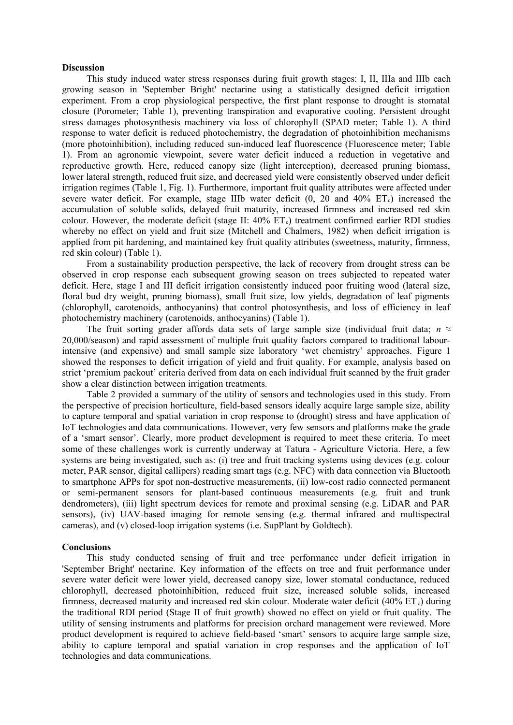### **Discussion**

This study induced water stress responses during fruit growth stages: I, II, IIIa and IIIb each growing season in 'September Bright' nectarine using a statistically designed deficit irrigation experiment. From a crop physiological perspective, the first plant response to drought is stomatal closure (Porometer; Table 1), preventing transpiration and evaporative cooling. Persistent drought stress damages photosynthesis machinery via loss of chlorophyll (SPAD meter; Table 1). A third response to water deficit is reduced photochemistry, the degradation of photoinhibition mechanisms (more photoinhibition), including reduced sun-induced leaf fluorescence (Fluorescence meter; Table 1). From an agronomic viewpoint, severe water deficit induced a reduction in vegetative and reproductive growth. Here, reduced canopy size (light interception), decreased pruning biomass, lower lateral strength, reduced fruit size, and decreased yield were consistently observed under deficit irrigation regimes (Table 1, Fig. 1). Furthermore, important fruit quality attributes were affected under severe water deficit. For example, stage IIIb water deficit  $(0, 20, 20, 40\% \text{ ET})$  increased the accumulation of soluble solids, delayed fruit maturity, increased firmness and increased red skin colour. However, the moderate deficit (stage II:  $40\%$  ET<sub>c</sub>) treatment confirmed earlier RDI studies whereby no effect on yield and fruit size (Mitchell and Chalmers, 1982) when deficit irrigation is applied from pit hardening, and maintained key fruit quality attributes (sweetness, maturity, firmness, red skin colour) (Table 1).

From a sustainability production perspective, the lack of recovery from drought stress can be observed in crop response each subsequent growing season on trees subjected to repeated water deficit. Here, stage I and III deficit irrigation consistently induced poor fruiting wood (lateral size, floral bud dry weight, pruning biomass), small fruit size, low yields, degradation of leaf pigments (chlorophyll, carotenoids, anthocyanins) that control photosynthesis, and loss of efficiency in leaf photochemistry machinery (carotenoids, anthocyanins) (Table 1).

The fruit sorting grader affords data sets of large sample size (individual fruit data;  $n \approx$ 20,000/season) and rapid assessment of multiple fruit quality factors compared to traditional labourintensive (and expensive) and small sample size laboratory 'wet chemistry' approaches. Figure 1 showed the responses to deficit irrigation of yield and fruit quality. For example, analysis based on strict 'premium packout' criteria derived from data on each individual fruit scanned by the fruit grader show a clear distinction between irrigation treatments.

Table 2 provided a summary of the utility of sensors and technologies used in this study. From the perspective of precision horticulture, field-based sensors ideally acquire large sample size, ability to capture temporal and spatial variation in crop response to (drought) stress and have application of IoT technologies and data communications. However, very few sensors and platforms make the grade of a 'smart sensor'. Clearly, more product development is required to meet these criteria. To meet some of these challenges work is currently underway at Tatura - Agriculture Victoria. Here, a few systems are being investigated, such as: (i) tree and fruit tracking systems using devices (e.g. colour meter, PAR sensor, digital callipers) reading smart tags (e.g. NFC) with data connection via Bluetooth to smartphone APPs for spot non-destructive measurements, (ii) low-cost radio connected permanent or semi-permanent sensors for plant-based continuous measurements (e.g. fruit and trunk dendrometers), (iii) light spectrum devices for remote and proximal sensing (e.g. LiDAR and PAR sensors), (iv) UAV-based imaging for remote sensing (e.g. thermal infrared and multispectral cameras), and (v) closed-loop irrigation systems (i.e. SupPlant by Goldtech).

#### **Conclusions**

This study conducted sensing of fruit and tree performance under deficit irrigation in 'September Bright' nectarine. Key information of the effects on tree and fruit performance under severe water deficit were lower yield, decreased canopy size, lower stomatal conductance, reduced chlorophyll, decreased photoinhibition, reduced fruit size, increased soluble solids, increased firmness, decreased maturity and increased red skin colour. Moderate water deficit  $(40\% \text{ ET})$  during the traditional RDI period (Stage II of fruit growth) showed no effect on yield or fruit quality. The utility of sensing instruments and platforms for precision orchard management were reviewed. More product development is required to achieve field-based 'smart' sensors to acquire large sample size, ability to capture temporal and spatial variation in crop responses and the application of IoT technologies and data communications.